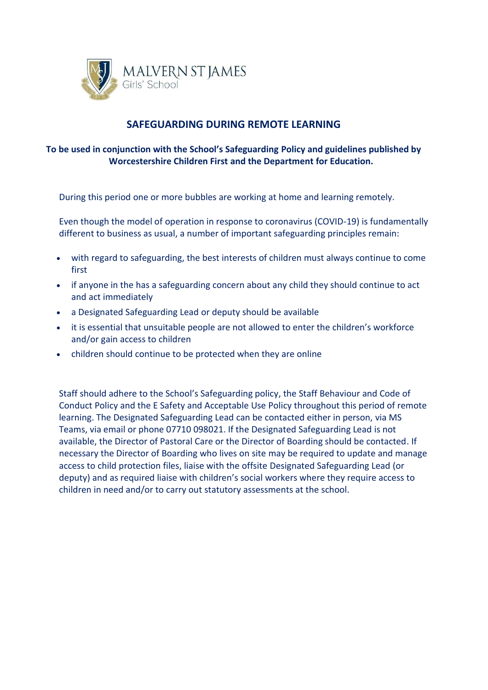

# **SAFEGUARDING DURING REMOTE LEARNING**

# **To be used in conjunction with the School's Safeguarding Policy and guidelines published by Worcestershire Children First and the [Department](https://www.gov.uk/government/publications/covid-19-safeguarding-in-schools-colleges-and-other-providers) for Education.**

During this period one or more bubbles are working at home and learning remotely.

Even though the model of operation in response to coronavirus (COVID-19) is fundamentally different to business as usual, a number of important safeguarding principles remain:

- with regard to safeguarding, the best interests of children must always continue to come first
- if anyone in the has a safeguarding concern about any child they should continue to act and act immediately
- a Designated Safeguarding Lead or deputy should be available
- it is essential that unsuitable people are not allowed to enter the children's workforce and/or gain access to children
- children should continue to be protected when they are online

Staff should adhere to the School's Safeguarding policy, the Staff Behaviour and Code of Conduct Policy and the E Safety and Acceptable Use Policy throughout this period of remote learning. The Designated Safeguarding Lead can be contacted either in person, via MS Teams, via email or phone 07710 098021. If the Designated Safeguarding Lead is not available, the Director of Pastoral Care or the Director of Boarding should be contacted. If necessary the Director of Boarding who lives on site may be required to update and manage access to child protection files, liaise with the offsite Designated Safeguarding Lead (or deputy) and as required liaise with children's social workers where they require access to children in need and/or to carry out statutory assessments at the school.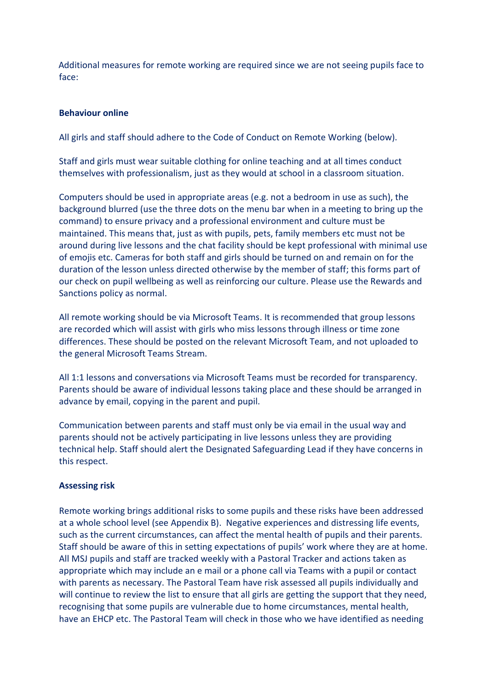Additional measures for remote working are required since we are not seeing pupils face to face:

#### **Behaviour online**

All girls and staff should adhere to the Code of Conduct on Remote Working (below).

Staff and girls must wear suitable clothing for online teaching and at all times conduct themselves with professionalism, just as they would at school in a classroom situation.

Computers should be used in appropriate areas (e.g. not a bedroom in use as such), the background blurred (use the three dots on the menu bar when in a meeting to bring up the command) to ensure privacy and a professional environment and culture must be maintained. This means that, just as with pupils, pets, family members etc must not be around during live lessons and the chat facility should be kept professional with minimal use of emojis etc. Cameras for both staff and girls should be turned on and remain on for the duration of the lesson unless directed otherwise by the member of staff; this forms part of our check on pupil wellbeing as well as reinforcing our culture. Please use the Rewards and Sanctions policy as normal.

All remote working should be via Microsoft Teams. It is recommended that group lessons are recorded which will assist with girls who miss lessons through illness or time zone differences. These should be posted on the relevant Microsoft Team, and not uploaded to the general Microsoft Teams Stream.

All 1:1 lessons and conversations via Microsoft Teams must be recorded for transparency. Parents should be aware of individual lessons taking place and these should be arranged in advance by email, copying in the parent and pupil.

Communication between parents and staff must only be via email in the usual way and parents should not be actively participating in live lessons unless they are providing technical help. Staff should alert the Designated Safeguarding Lead if they have concerns in this respect.

#### **Assessing risk**

Remote working brings additional risks to some pupils and these risks have been addressed at a whole school level (see Appendix B). Negative experiences and distressing life events, such as the current circumstances, can affect the mental health of pupils and their parents. Staff should be aware of this in setting expectations of pupils' work where they are at home. All MSJ pupils and staff are tracked weekly with a Pastoral Tracker and actions taken as appropriate which may include an e mail or a phone call via Teams with a pupil or contact with parents as necessary. The Pastoral Team have risk assessed all pupils individually and will continue to review the list to ensure that all girls are getting the support that they need, recognising that some pupils are vulnerable due to home circumstances, mental health, have an EHCP etc. The Pastoral Team will check in those who we have identified as needing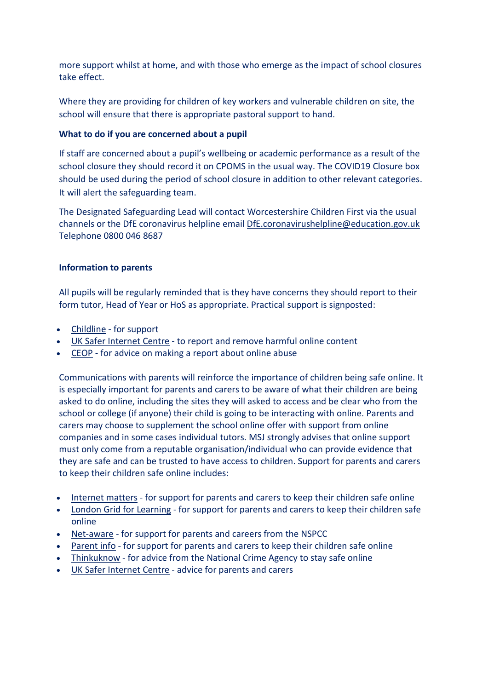more support whilst at home, and with those who emerge as the impact of school closures take effect.

Where they are providing for children of key workers and vulnerable children on site, the school will ensure that there is appropriate pastoral support to hand.

## **What to do if you are concerned about a pupil**

If staff are concerned about a pupil's wellbeing or academic performance as a result of the school closure they should record it on CPOMS in the usual way. The COVID19 Closure box should be used during the period of school closure in addition to other relevant categories. It will alert the safeguarding team.

The Designated Safeguarding Lead will contact Worcestershire Children First via the usual channels or the DfE coronavirus helpline email [DfE.coronavirushelpline@education.gov.uk](mailto:DfE.coronavirushelpline@education.gov.uk) Telephone 0800 046 8687

## **Information to parents**

All pupils will be regularly reminded that is they have concerns they should report to their form tutor, Head of Year or HoS as appropriate. Practical support is signposted:

- [Childline](https://www.childline.org.uk/?utm_source=google&utm_medium=cpc&utm_campaign=UK_GO_S_B_BND_Grant_Childline_Information&utm_term=role_of_childline&gclsrc=aw.ds&&gclid=EAIaIQobChMIlfLRh-ez6AIVRrDtCh1N9QR2EAAYASAAEgLc-vD_BwE&gclsrc=aw.ds) for support
- UK Safer [Internet](https://reportharmfulcontent.com/) Centre to report and remove harmful online content
- [CEOP](https://www.ceop.police.uk/safety-centre/) for advice on making a report about online abuse

Communications with parents will reinforce the importance of children being safe online. It is especially important for parents and carers to be aware of what their children are being asked to do online, including the sites they will asked to access and be clear who from the school or college (if anyone) their child is going to be interacting with online. Parents and carers may choose to supplement the school online offer with support from online companies and in some cases individual tutors. MSJ strongly advises that online support must only come from a reputable organisation/individual who can provide evidence that they are safe and can be trusted to have access to children. Support for parents and carers to keep their children safe online includes:

- [Internet](https://www.internetmatters.org/?gclid=EAIaIQobChMIktuA5LWK2wIVRYXVCh2afg2aEAAYASAAEgIJ5vD_BwE) matters for support for parents and carers to keep their children safe online
- **London Grid for [Learning](http://www.lgfl.net/online-safety/) for support for parents and carers to keep their children safe** online
- [Net-aware](https://www.net-aware.org.uk/) for support for parents and careers from the NSPCC
- [Parent](https://parentinfo.org/) info for support for parents and carers to keep their children safe online
- [Thinkuknow](http://www.thinkuknow.co.uk/) for advice from the National Crime Agency to stay safe online
- UK Safer [Internet](https://www.saferinternet.org.uk/advice-centre/parents-and-carers) Centre advice for parents and carers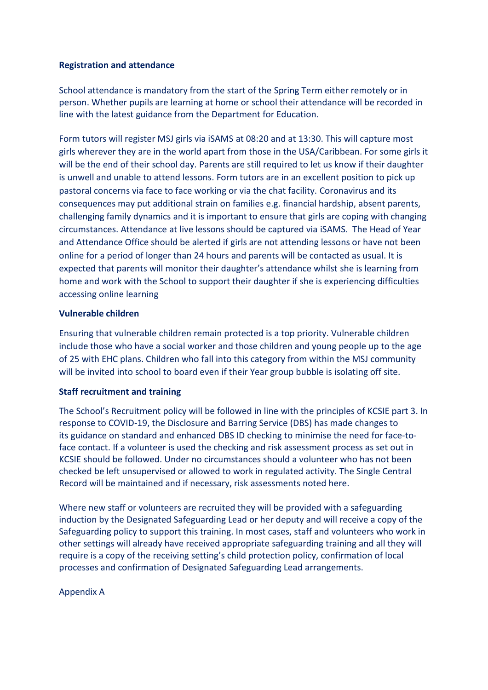## **Registration and attendance**

School attendance is mandatory from the start of the Spring Term either remotely or in person. Whether pupils are learning at home or school their attendance will be recorded in line with the latest guidance from the Department for Education.

Form tutors will register MSJ girls via iSAMS at 08:20 and at 13:30. This will capture most girls wherever they are in the world apart from those in the USA/Caribbean. For some girls it will be the end of their school day. Parents are still required to let us know if their daughter is unwell and unable to attend lessons. Form tutors are in an excellent position to pick up pastoral concerns via face to face working or via the chat facility. Coronavirus and its consequences may put additional strain on families e.g. financial hardship, absent parents, challenging family dynamics and it is important to ensure that girls are coping with changing circumstances. Attendance at live lessons should be captured via iSAMS. The Head of Year and Attendance Office should be alerted if girls are not attending lessons or have not been online for a period of longer than 24 hours and parents will be contacted as usual. It is expected that parents will monitor their daughter's attendance whilst she is learning from home and work with the School to support their daughter if she is experiencing difficulties accessing online learning

### **Vulnerable children**

Ensuring that vulnerable children remain protected is a top priority. Vulnerable children include those who have a social worker and those children and young people up to the age of 25 with EHC plans. Children who fall into this category from within the MSJ community will be invited into school to board even if their Year group bubble is isolating off site.

## **Staff recruitment and training**

The School's Recruitment policy will be followed in line with the principles of KCSIE part 3. In response to COVID-19, the Disclosure and Barring Service (DBS) has made changes to its guidance on standard and enhanced DBS ID checking to minimise the need for face-toface contact. If a volunteer is used the checking and risk assessment process as set out in KCSIE should be followed. Under no circumstances should a volunteer who has not been checked be left unsupervised or allowed to work in regulated activity. The Single Central Record will be maintained and if necessary, risk assessments noted here.

Where new staff or volunteers are recruited they will be provided with a safeguarding induction by the Designated Safeguarding Lead or her deputy and will receive a copy of the Safeguarding policy to support this training. In most cases, staff and volunteers who work in other settings will already have received appropriate safeguarding training and all they will require is a copy of the receiving setting's child protection policy, confirmation of local processes and confirmation of Designated Safeguarding Lead arrangements.

### Appendix A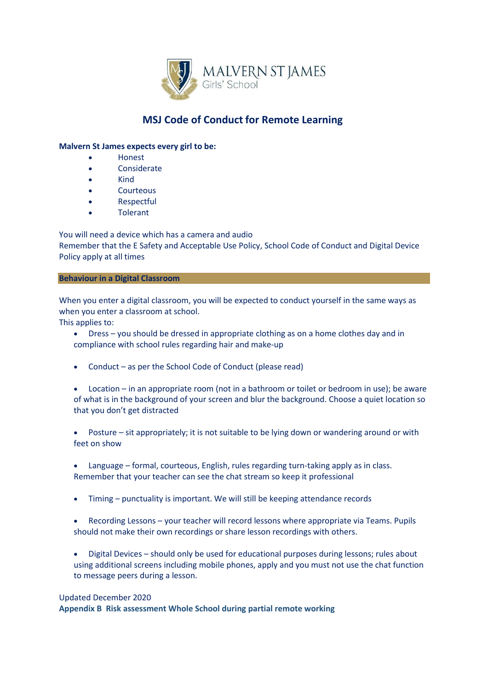

# **MSJ Code of Conduct for Remote Learning**

#### **Malvern St James expects every girl to be:**

- Honest
- Considerate
- Kind
- **Courteous**
- **Respectful**
- **Tolerant**

You will need a device which has a camera and audio Remember that the E Safety and Acceptable Use Policy, School Code of Conduct and Digital Device Policy apply at all times

#### **Behaviour in a Digital Classroom**

When you enter a digital classroom, you will be expected to conduct yourself in the same ways as when you enter a classroom at school.

This applies to:

- Dress you should be dressed in appropriate clothing as on a home clothes day and in compliance with school rules regarding hair and make-up
- Conduct as per the School Code of Conduct (please read)
- Location in an appropriate room (not in a bathroom or toilet or bedroom in use); be aware of what is in the background of your screen and blur the background. Choose a quiet location so that you don't get distracted
- Posture sit appropriately; it is not suitable to be lying down or wandering around or with feet on show
- Language formal, courteous, English, rules regarding turn-taking apply as in class. Remember that your teacher can see the chat stream so keep it professional
- Timing punctuality is important. We will still be keeping attendance records
- Recording Lessons your teacher will record lessons where appropriate via Teams. Pupils should not make their own recordings or share lesson recordings with others.
- Digital Devices should only be used for educational purposes during lessons; rules about using additional screens including mobile phones, apply and you must not use the chat function to message peers during a lesson.

#### Updated December 2020

**Appendix B Risk assessment Whole School during partial remote working**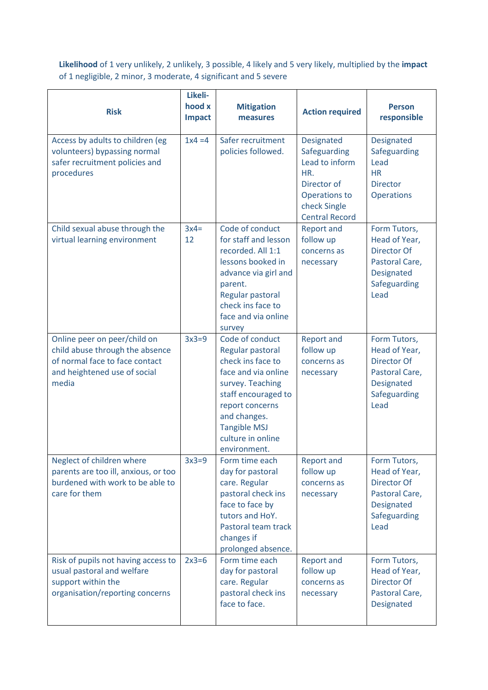**Likelihood** of 1 very unlikely, 2 unlikely, 3 possible, 4 likely and 5 very likely, multiplied by the **impact** of 1 negligible, 2 minor, 3 moderate, 4 significant and 5 severe

| <b>Risk</b>                                                                                                                                | Likeli-<br>hood x<br>Impact | <b>Mitigation</b><br>measures                                                                                                                                                                                             | <b>Action required</b>                                                                                                       | <b>Person</b><br>responsible                                                                                |
|--------------------------------------------------------------------------------------------------------------------------------------------|-----------------------------|---------------------------------------------------------------------------------------------------------------------------------------------------------------------------------------------------------------------------|------------------------------------------------------------------------------------------------------------------------------|-------------------------------------------------------------------------------------------------------------|
| Access by adults to children (eg<br>volunteers) bypassing normal<br>safer recruitment policies and<br>procedures                           | $1x4 = 4$                   | Safer recruitment<br>policies followed.                                                                                                                                                                                   | Designated<br>Safeguarding<br>Lead to inform<br>HR.<br>Director of<br>Operations to<br>check Single<br><b>Central Record</b> | Designated<br>Safeguarding<br>Lead<br><b>HR</b><br><b>Director</b><br><b>Operations</b>                     |
| Child sexual abuse through the<br>virtual learning environment                                                                             | $3x4=$<br>12                | Code of conduct<br>for staff and lesson<br>recorded. All 1:1<br>lessons booked in<br>advance via girl and<br>parent.<br>Regular pastoral<br>check ins face to<br>face and via online<br>survey                            | <b>Report and</b><br>follow up<br>concerns as<br>necessary                                                                   | Form Tutors,<br>Head of Year,<br>Director Of<br>Pastoral Care,<br>Designated<br>Safeguarding<br>Lead        |
| Online peer on peer/child on<br>child abuse through the absence<br>of normal face to face contact<br>and heightened use of social<br>media | $3x3=9$                     | Code of conduct<br>Regular pastoral<br>check ins face to<br>face and via online<br>survey. Teaching<br>staff encouraged to<br>report concerns<br>and changes.<br><b>Tangible MSJ</b><br>culture in online<br>environment. | <b>Report and</b><br>follow up<br>concerns as<br>necessary                                                                   | Form Tutors,<br>Head of Year,<br>Director Of<br>Pastoral Care,<br>Designated<br>Safeguarding<br>Lead        |
| Neglect of children where<br>parents are too ill, anxious, or too<br>burdened with work to be able to<br>care for them                     | $3x3=9$                     | Form time each<br>day for pastoral<br>care. Regular<br>pastoral check ins<br>face to face by<br>tutors and HoY.<br>Pastoral team track<br>changes if<br>prolonged absence.                                                | <b>Report and</b><br>follow up<br>concerns as<br>necessary                                                                   | Form Tutors,<br>Head of Year,<br><b>Director Of</b><br>Pastoral Care,<br>Designated<br>Safeguarding<br>Lead |
| Risk of pupils not having access to<br>usual pastoral and welfare<br>support within the<br>organisation/reporting concerns                 | $2x3=6$                     | Form time each<br>day for pastoral<br>care. Regular<br>pastoral check ins<br>face to face.                                                                                                                                | <b>Report and</b><br>follow up<br>concerns as<br>necessary                                                                   | Form Tutors,<br>Head of Year,<br>Director Of<br>Pastoral Care,<br>Designated                                |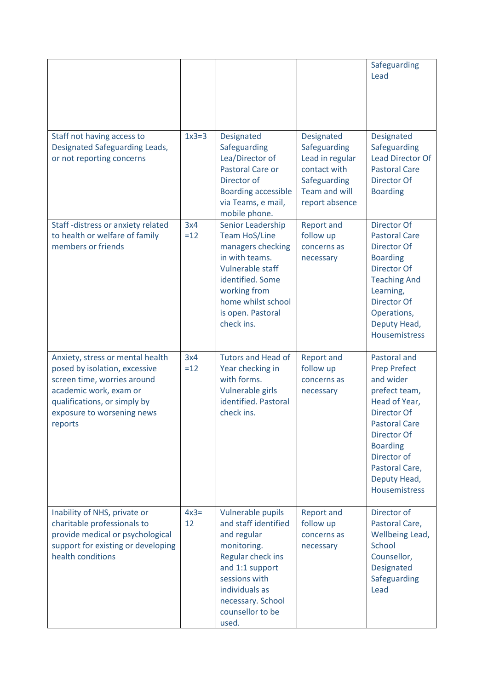|                                                                                                                                                                                                     |              |                                                                                                                                                                                                      |                                                                                                                         | Safeguarding<br>Lead                                                                                                                                                                                                                        |
|-----------------------------------------------------------------------------------------------------------------------------------------------------------------------------------------------------|--------------|------------------------------------------------------------------------------------------------------------------------------------------------------------------------------------------------------|-------------------------------------------------------------------------------------------------------------------------|---------------------------------------------------------------------------------------------------------------------------------------------------------------------------------------------------------------------------------------------|
| Staff not having access to<br>Designated Safeguarding Leads,<br>or not reporting concerns                                                                                                           | $1x3=3$      | Designated<br>Safeguarding<br>Lea/Director of<br>Pastoral Care or<br>Director of<br><b>Boarding accessible</b><br>via Teams, e mail,<br>mobile phone.                                                | Designated<br>Safeguarding<br>Lead in regular<br>contact with<br>Safeguarding<br><b>Team and will</b><br>report absence | Designated<br>Safeguarding<br><b>Lead Director Of</b><br><b>Pastoral Care</b><br>Director Of<br><b>Boarding</b>                                                                                                                             |
| Staff-distress or anxiety related<br>to health or welfare of family<br>members or friends                                                                                                           | 3x4<br>$=12$ | Senior Leadership<br><b>Team HoS/Line</b><br>managers checking<br>in with teams.<br>Vulnerable staff<br>identified. Some<br>working from<br>home whilst school<br>is open. Pastoral<br>check ins.    | <b>Report and</b><br>follow up<br>concerns as<br>necessary                                                              | Director Of<br><b>Pastoral Care</b><br>Director Of<br><b>Boarding</b><br>Director Of<br><b>Teaching And</b><br>Learning,<br>Director Of<br>Operations,<br>Deputy Head,<br><b>Housemistress</b>                                              |
| Anxiety, stress or mental health<br>posed by isolation, excessive<br>screen time, worries around<br>academic work, exam or<br>qualifications, or simply by<br>exposure to worsening news<br>reports | 3x4<br>$=12$ | <b>Tutors and Head of</b><br>Year checking in<br>with forms.<br>Vulnerable girls<br>identified. Pastoral<br>check ins.                                                                               | <b>Report and</b><br>follow up<br>concerns as<br>necessary                                                              | Pastoral and<br><b>Prep Prefect</b><br>and wider<br>prefect team,<br>Head of Year,<br><b>Director Of</b><br><b>Pastoral Care</b><br>Director Of<br><b>Boarding</b><br>Director of<br>Pastoral Care,<br>Deputy Head,<br><b>Housemistress</b> |
| Inability of NHS, private or<br>charitable professionals to<br>provide medical or psychological<br>support for existing or developing<br>health conditions                                          | $4x3=$<br>12 | Vulnerable pupils<br>and staff identified<br>and regular<br>monitoring.<br>Regular check ins<br>and 1:1 support<br>sessions with<br>individuals as<br>necessary. School<br>counsellor to be<br>used. | <b>Report and</b><br>follow up<br>concerns as<br>necessary                                                              | Director of<br>Pastoral Care,<br>Wellbeing Lead,<br>School<br>Counsellor,<br>Designated<br>Safeguarding<br>Lead                                                                                                                             |